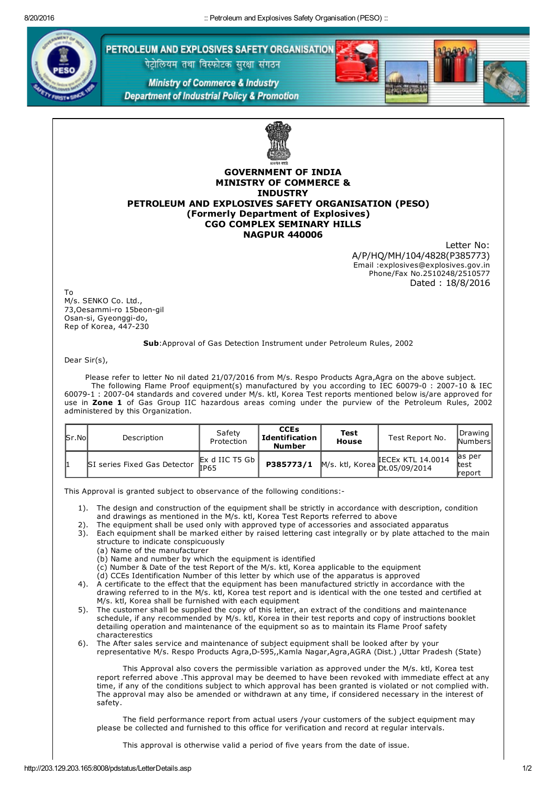

PETROLEUM AND EXPLOSIVES SAFETY ORGANISATION

पेट्रोलियम तथा विस्फोटक सुरक्षा संगठन

**Ministry of Commerce & Industry Department of Industrial Policy & Promotion** 



## GOVERNMENT OF INDIA MINISTRY OF COMMERCE & **INDUSTRY** PETROLEUM AND EXPLOSIVES SAFETY ORGANISATION (PESO) (Formerly Department of Explosives) CGO COMPLEX SEMINARY HILLS NAGPUR 440006

Letter No: A/P/HQ/MH/104/4828(P385773) Email :explosives@explosives.gov.in Phone/Fax No.2510248/2510577 Dated : 18/8/2016

To M/s. SENKO Co. Ltd., 73, Oesammi-ro 15beon-gil Osan-si, Gyeonggi-do, Rep of Korea, 447-230

## Sub:Approval of Gas Detection Instrument under Petroleum Rules, 2002

Dear Sir(s),

Please refer to letter No nil dated 21/07/2016 from M/s. Respo Products Agra,Agra on the above subject. The following Flame Proof equipment(s) manufactured by you according to IEC 60079-0 : 2007-10 & IEC 60079-1 : 2007-04 standards and covered under M/s. ktl, Korea Test reports mentioned below is/are approved for use in Zone 1 of Gas Group IIC hazardous areas coming under the purview of the Petroleum Rules, 2002 administered by this Organization.

| $\mathsf{Sr}.\mathsf{No}$ | Description                  | Safety<br>Protection                                   | <b>CCEs</b><br>Identification<br><b>Number</b> | Test<br>House | Test Report No.                                                     | Drawing  <br><b>Numbers</b> |
|---------------------------|------------------------------|--------------------------------------------------------|------------------------------------------------|---------------|---------------------------------------------------------------------|-----------------------------|
|                           | SI series Fixed Gas Detector | $\mathbb{E}$ x d IIC T5 Gb $\mathbb{I}$<br><b>IP65</b> | P385773/1                                      |               | <b>IECEX KTL 14.0014</b><br>$\mu$ M/s. ktl, Korea $D: 0.05/09/2014$ | las per<br>ltest<br>lreport |

This Approval is granted subject to observance of the following conditions:

- 1). The design and construction of the equipment shall be strictly in accordance with description, condition and drawings as mentioned in the M/s. ktl, Korea Test Reports referred to above
- 2). The equipment shall be used only with approved type of accessories and associated apparatus
- 3). Each equipment shall be marked either by raised lettering cast integrally or by plate attached to the main structure to indicate conspicuously
	- (a) Name of the manufacturer
	- (b) Name and number by which the equipment is identified
	- (c) Number & Date of the test Report of the M/s. ktl, Korea applicable to the equipment
	- (d) CCEs Identification Number of this letter by which use of the apparatus is approved
- 4). A certificate to the effect that the equipment has been manufactured strictly in accordance with the drawing referred to in the M/s. ktl, Korea test report and is identical with the one tested and certified at M/s. ktl, Korea shall be furnished with each equipment
- 5). The customer shall be supplied the copy of this letter, an extract of the conditions and maintenance schedule, if any recommended by M/s. ktl, Korea in their test reports and copy of instructions booklet detailing operation and maintenance of the equipment so as to maintain its Flame Proof safety characterestics
- 6). The After sales service and maintenance of subject equipment shall be looked after by your representative M/s. Respo Products Agra, D-595,, Kamla Nagar, Agra, AGRA (Dist.), Uttar Pradesh (State)

This Approval also covers the permissible variation as approved under the M/s. ktl, Korea test report referred above .This approval may be deemed to have been revoked with immediate effect at any time, if any of the conditions subject to which approval has been granted is violated or not complied with. The approval may also be amended or withdrawn at any time, if considered necessary in the interest of safety.

The field performance report from actual users /your customers of the subject equipment may please be collected and furnished to this office for verification and record at regular intervals.

This approval is otherwise valid a period of five years from the date of issue.